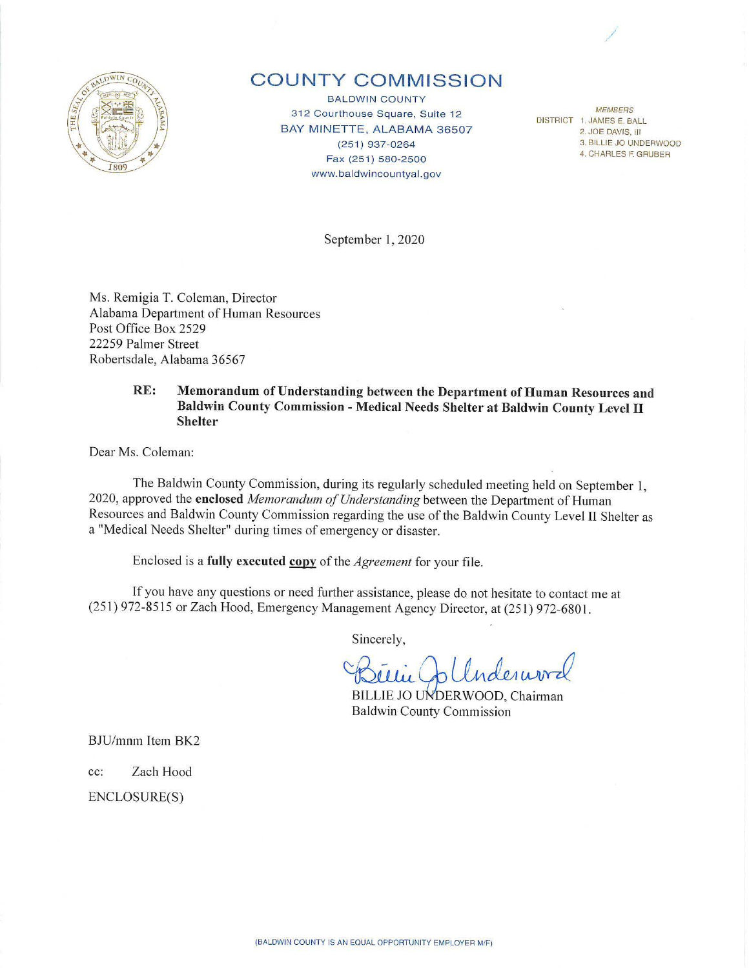

## **COUNTY COMMISSION**

BALDWIN COUNTY 312 Courthouse Square, Suite 12 BAY MINETTE, ALABAMA 36507 (251) 937-0264 Fax (251) 580-2500 www.baldwincountyal.gov

**MEMBERS** DISTRICT 1. JAMES E. BALL 2. JOE DAVIS, Ill 3. BILLIE JO UNDERWOOD 4. CHARLES F. GRUBER

/

September 1, 2020

Ms. Remigia T. Coleman, Director Alabama Department of Human Resources Post Office Box 2529 22259 Palmer Street Robertsdale, Alabama 36567

## **RE:** Memorandum of Understanding between the Department of Human Resources and **Baldwin County Commission** - **Medical Needs Shelter at Baldwin County Level** II **Shelter**

Dear Ms. Coleman:

The Baldwin County Commission, during its regularly scheduled meeting held on September l, 2020, approved the *enclosed Memorandum of Understanding* between the Department of Human Resources and Baldwin County Commission regarding the use of the Baldwin County Level II Shelter as a "Medical Needs Shelter" during times of emergency or disaster.

Enclosed is a fully executed copy of the *Agreement* for your file.

If you have any questions or need finther assistance, please do not hesitate to contact me at (251) 972-8515 or Zach Hood, Emergency Management Agency Director, at (251) 972-680 I.

Sincerely,

Béllie Colleder word

BILLIE JO UNDERWOOD, Chairman

BJU/mnm Item BK2

cc: Zach Hood

ENCLOSURE(S)